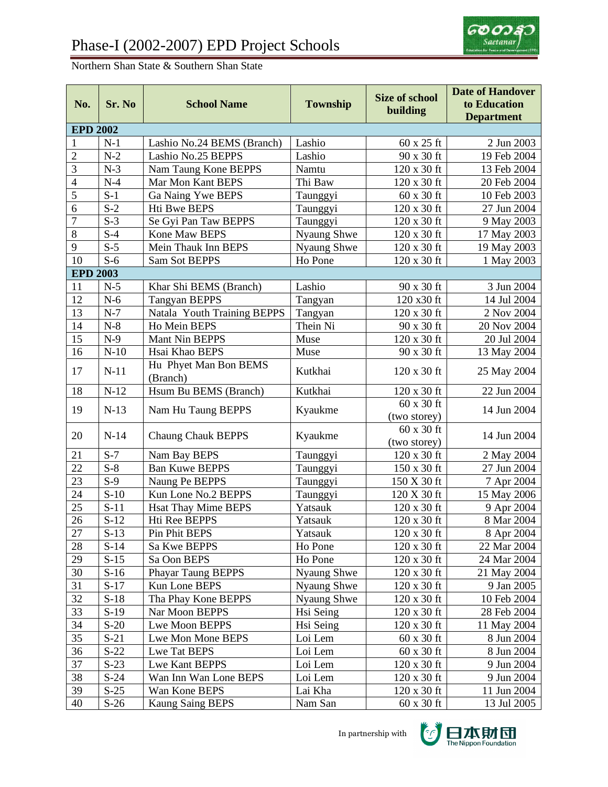

## Northern Shan State & Southern Shan State

| No.                      | Sr. No             | <b>School Name</b>                | <b>Township</b> | <b>Size of school</b><br>building | <b>Date of Handover</b><br>to Education<br><b>Department</b> |
|--------------------------|--------------------|-----------------------------------|-----------------|-----------------------------------|--------------------------------------------------------------|
| <b>EPD 2002</b>          |                    |                                   |                 |                                   |                                                              |
| $\mathbf{1}$             | $N-1$              | Lashio No.24 BEMS (Branch)        | Lashio          | 60 x 25 ft                        | 2 Jun 2003                                                   |
| $\overline{2}$           | $N-2$              | Lashio No.25 BEPPS                | Lashio          | 90 x 30 ft                        | 19 Feb 2004                                                  |
| 3                        | $N-3$              | Nam Taung Kone BEPPS              | Namtu           | 120 x 30 ft                       | 13 Feb 2004                                                  |
| $\overline{\mathcal{L}}$ | $N-4$              | Mar Mon Kant BEPS                 | Thi Baw         | 120 x 30 ft                       | 20 Feb 2004                                                  |
| 5                        | $S-1$              | Ga Naing Ywe BEPS                 | Taunggyi        | 60 x 30 ft                        | 10 Feb 2003                                                  |
| 6                        | $S-2$              | Hti Bwe BEPS                      | Taunggyi        | 120 x 30 ft                       | 27 Jun 2004                                                  |
| $\overline{7}$           | $S-3$              | Se Gyi Pan Taw BEPPS              | Taunggyi        | $120 \times 30$ ft                | 9 May 2003                                                   |
| 8                        | $S-4$              | Kone Maw BEPS                     | Nyaung Shwe     | 120 x 30 ft                       | 17 May 2003                                                  |
| 9                        | $S-5$              | Mein Thauk Inn BEPS               | Nyaung Shwe     | 120 x 30 ft                       | 19 May 2003                                                  |
| 10                       | $S-6$              | <b>Sam Sot BEPPS</b>              | Ho Pone         | 120 x 30 ft                       | 1 May 2003                                                   |
| <b>EPD 2003</b>          |                    |                                   |                 |                                   |                                                              |
| 11                       | $N-5$              | Khar Shi BEMS (Branch)            | Lashio          | 90 x 30 ft                        | 3 Jun 2004                                                   |
| 12                       | $N-6$              | <b>Tangyan BEPPS</b>              | Tangyan         | 120 x30 ft                        | 14 Jul 2004                                                  |
| 13                       | $N-7$              | Natala Youth Training BEPPS       | Tangyan         | 120 x 30 ft                       | 2 Nov 2004                                                   |
| 14                       | $N-8$              | Ho Mein BEPS                      | Thein Ni        | 90 x 30 ft                        | 20 Nov 2004                                                  |
| 15                       | $N-9$              | Mant Nin BEPPS                    | Muse            | 120 x 30 ft                       | 20 Jul 2004                                                  |
| 16                       | $N-10$             | Hsai Khao BEPS                    | Muse            | 90 x 30 ft                        | 13 May 2004                                                  |
| 17                       | $N-11$             | Hu Phyet Man Bon BEMS<br>(Branch) | Kutkhai         | 120 x 30 ft                       | 25 May 2004                                                  |
| 18                       | $N-12$             | Hsum Bu BEMS (Branch)             | Kutkhai         | 120 x 30 ft                       | 22 Jun 2004                                                  |
| 19                       | $N-13$             | Nam Hu Taung BEPPS                | Kyaukme         | $60 \times 30$ ft<br>(two storey) | 14 Jun 2004                                                  |
| 20                       | $N-14$             | <b>Chaung Chauk BEPPS</b>         | Kyaukme         | 60 x 30 ft<br>(two storey)        | 14 Jun 2004                                                  |
| 21                       | $S-7$              | Nam Bay BEPS                      | Taunggyi        | 120 x 30 ft                       | 2 May 2004                                                   |
| 22                       | $S-8$              | <b>Ban Kuwe BEPPS</b>             | Taunggyi        | 150 x 30 ft                       | 27 Jun 2004                                                  |
| 23                       | $S-9$              | Naung Pe BEPPS                    | Taunggyi        | 150 X 30 ft                       | 7 Apr 2004                                                   |
| 24                       | $\overline{S}$ -10 | Kun Lone No.2 BEPPS               | Taunggyi        | 120 X 30 ft                       | 15 May 2006                                                  |
| 25                       | $S-11$             | <b>Hsat Thay Mime BEPS</b>        | Yatsauk         | 120 x 30 ft                       | 9 Apr 2004                                                   |
| 26                       | $S-12$             | Hti Ree BEPPS                     | Yatsauk         | 120 x 30 ft                       | 8 Mar 2004                                                   |
| 27                       | $S-13$             | Pin Phit BEPS                     | Yatsauk         | 120 x 30 ft                       | 8 Apr 2004                                                   |
| 28                       | $S-14$             | Sa Kwe BEPPS                      | Ho Pone         | 120 x 30 ft                       | 22 Mar 2004                                                  |
| 29                       | $S-15$             | Sa Oon BEPS                       | Ho Pone         | $120 \times 30$ ft                | 24 Mar 2004                                                  |
| 30                       | $S-16$             | Phayar Taung BEPPS                | Nyaung Shwe     | $120 \times 30$ ft                | 21 May 2004                                                  |
| 31                       | $S-17$             | Kun Lone BEPS                     | Nyaung Shwe     | $120 \times 30$ ft                | 9 Jan 2005                                                   |
| 32                       | $S-18$             | Tha Phay Kone BEPPS               | Nyaung Shwe     | $120 \times 30$ ft                | 10 Feb 2004                                                  |
| 33                       | $S-19$             | Nar Moon BEPPS                    | Hsi Seing       | $120 \times 30$ ft                | 28 Feb 2004                                                  |
| 34                       | $S-20$             | Lwe Moon BEPPS                    | Hsi Seing       | 120 x 30 ft                       | 11 May 2004                                                  |
| 35                       | $S-21$             | Lwe Mon Mone BEPS                 | Loi Lem         | 60 x 30 ft                        | 8 Jun 2004                                                   |
| 36                       | $S-22$             | Lwe Tat BEPS                      | Loi Lem         | $60 \times 30$ ft                 | 8 Jun 2004                                                   |
| 37                       | $S-23$             | Lwe Kant BEPPS                    | Loi Lem         | 120 x 30 ft                       | 9 Jun 2004                                                   |
| 38                       | $S-24$             | Wan Inn Wan Lone BEPS             | Loi Lem         | $120 \ge 30$ ft                   | 9 Jun 2004                                                   |
| 39                       | $S-25$             | Wan Kone BEPS                     | Lai Kha         | $120 \ge 30$ ft                   | 11 Jun 2004                                                  |
| 40                       | $S-26$             | <b>Kaung Saing BEPS</b>           | Nam San         | $60 \times 30$ ft                 | 13 Jul 2005                                                  |

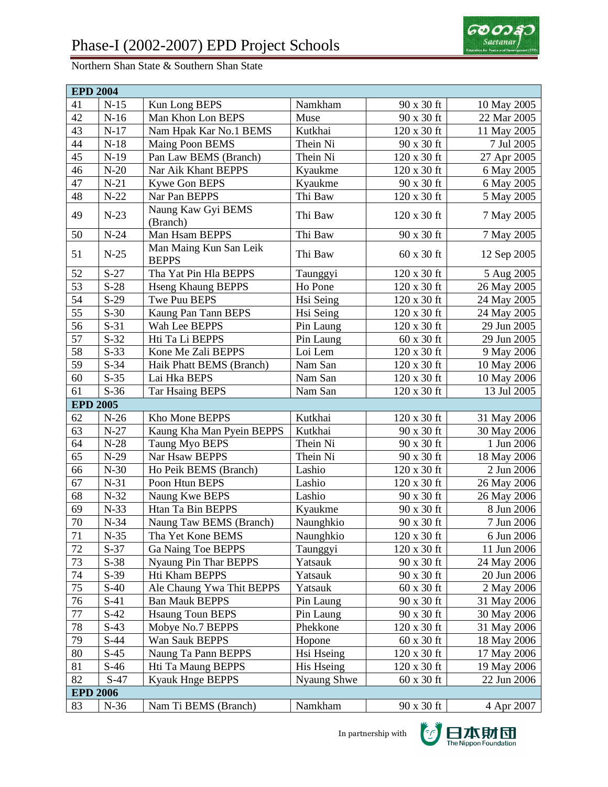## Northern Shan State & Southern Shan State



| <b>EPD 2004</b> |        |                                        |             |                      |             |  |
|-----------------|--------|----------------------------------------|-------------|----------------------|-------------|--|
| 41              | $N-15$ | Kun Long BEPS                          | Namkham     | 90 x 30 ft           | 10 May 2005 |  |
| 42              | $N-16$ | Man Khon Lon BEPS                      | Muse        | 90 x 30 ft           | 22 Mar 2005 |  |
| 43              | $N-17$ | Nam Hpak Kar No.1 BEMS                 | Kutkhai     | 120 x 30 ft          | 11 May 2005 |  |
| 44              | $N-18$ | Maing Poon BEMS                        | Thein Ni    | 90 x 30 ft           | 7 Jul 2005  |  |
| 45              | $N-19$ | Pan Law BEMS (Branch)                  | Thein Ni    | 120 x 30 ft          | 27 Apr 2005 |  |
| 46              | $N-20$ | Nar Aik Khant BEPPS                    | Kyaukme     | 120 x 30 ft          | 6 May 2005  |  |
| 47              | $N-21$ | Kywe Gon BEPS                          | Kyaukme     | 90 x 30 ft           | 6 May 2005  |  |
| 48              | $N-22$ | Nar Pan BEPPS                          | Thi Baw     | 120 x 30 ft          | 5 May 2005  |  |
| 49              | $N-23$ | Naung Kaw Gyi BEMS<br>(Branch)         | Thi Baw     | 120 x 30 ft          | 7 May 2005  |  |
| 50              | $N-24$ | Man Hsam BEPPS                         | Thi Baw     | 90 x 30 ft           | 7 May 2005  |  |
| 51              | $N-25$ | Man Maing Kun San Leik<br><b>BEPPS</b> | Thi Baw     | 60 x 30 ft           | 12 Sep 2005 |  |
| 52              | $S-27$ | Tha Yat Pin Hla BEPPS                  | Taunggyi    | 120 x 30 ft          | 5 Aug 2005  |  |
| $\overline{53}$ | $S-28$ | <b>Hseng Khaung BEPPS</b>              | Ho Pone     | 120 x 30 ft          | 26 May 2005 |  |
| 54              | $S-29$ | Twe Puu BEPS                           | Hsi Seing   | 120 x 30 ft          | 24 May 2005 |  |
| 55              | $S-30$ | Kaung Pan Tann BEPS                    | Hsi Seing   | 120 x 30 ft          | 24 May 2005 |  |
| 56              | $S-31$ | Wah Lee BEPPS                          | Pin Laung   | 120 x 30 ft          | 29 Jun 2005 |  |
| 57              | $S-32$ | Hti Ta Li BEPPS                        | Pin Laung   | 60 x 30 ft           | 29 Jun 2005 |  |
| 58              | $S-33$ | Kone Me Zali BEPPS                     | Loi Lem     | 120 x 30 ft          | 9 May 2006  |  |
| 59              | $S-34$ | Haik Phatt BEMS (Branch)               | Nam San     | 120 x 30 ft          | 10 May 2006 |  |
| 60              | $S-35$ | Lai Hka BEPS                           | Nam San     | 120 x 30 ft          | 10 May 2006 |  |
| 61              | $S-36$ | <b>Tar Hsaing BEPS</b>                 | Nam San     | 120 x 30 ft          | 13 Jul 2005 |  |
| <b>EPD 2005</b> |        |                                        |             |                      |             |  |
| 62              | $N-26$ | Kho Mone BEPPS                         | Kutkhai     | $120$ x $30$ ft $\,$ | 31 May 2006 |  |
| 63              | $N-27$ | Kaung Kha Man Pyein BEPPS              | Kutkhai     | 90 x 30 ft           | 30 May 2006 |  |
| 64              | $N-28$ | Taung Myo BEPS                         | Thein Ni    | 90 x 30 ft           | 1 Jun 2006  |  |
| 65              | $N-29$ | Nar Hsaw BEPPS                         | Thein Ni    | 90 x 30 ft           | 18 May 2006 |  |
| 66              | $N-30$ | Ho Peik BEMS (Branch)                  | Lashio      | 120 x 30 ft          | 2 Jun 2006  |  |
| 67              | $N-31$ | Poon Htun BEPS                         | Lashio      | 120 x 30 ft          | 26 May 2006 |  |
| 68              | $N-32$ | Naung Kwe BEPS                         | Lashio      | 90 x 30 ft           | 26 May 2006 |  |
| 69              | $N-33$ | <b>Htan Ta Bin BEPPS</b>               | Kyaukme     | 90 x 30 ft           | 8 Jun 2006  |  |
| 70              | $N-34$ | Naung Taw BEMS (Branch)                | Naunghkio   | 90 x 30 ft           | 7 Jun 2006  |  |
| 71              | $N-35$ | Tha Yet Kone BEMS                      | Naunghkio   | 120 x 30 ft          | 6 Jun 2006  |  |
| 72              | $S-37$ | Ga Naing Toe BEPPS                     | Taunggyi    | 120 x 30 ft          | 11 Jun 2006 |  |
| 73              | $S-38$ | Nyaung Pin Thar BEPPS                  | Yatsauk     | 90 x 30 ft           | 24 May 2006 |  |
| 74              | $S-39$ | Hti Kham BEPPS                         | Yatsauk     | 90 x 30 ft           | 20 Jun 2006 |  |
| 75              | $S-40$ | Ale Chaung Ywa Thit BEPPS              | Yatsauk     | $60 \times 30$ ft    | 2 May 2006  |  |
| 76              | $S-41$ | <b>Ban Mauk BEPPS</b>                  | Pin Laung   | 90 x 30 ft           | 31 May 2006 |  |
| 77              | $S-42$ | <b>Hsaung Toun BEPS</b>                | Pin Laung   | 90 x 30 ft           | 30 May 2006 |  |
| 78              | $S-43$ | Mobye No.7 BEPPS                       | Phekkone    | 120 x 30 ft          | 31 May 2006 |  |
| 79              | $S-44$ | Wan Sauk BEPPS                         | Hopone      | 60 x 30 ft           | 18 May 2006 |  |
| 80              | $S-45$ | Naung Ta Pann BEPPS                    | Hsi Hseing  | $120 \times 30$ ft   | 17 May 2006 |  |
| 81              | $S-46$ | Hti Ta Maung BEPPS                     | His Hseing  | 120 x 30 ft          | 19 May 2006 |  |
| 82              | $S-47$ | <b>Kyauk Hnge BEPPS</b>                | Nyaung Shwe | 60 x 30 ft           | 22 Jun 2006 |  |
| <b>EPD 2006</b> |        |                                        |             |                      |             |  |
| 83              | $N-36$ | Nam Ti BEMS (Branch)                   | Namkham     | 90 x 30 ft           | 4 Apr 2007  |  |

In partnership with